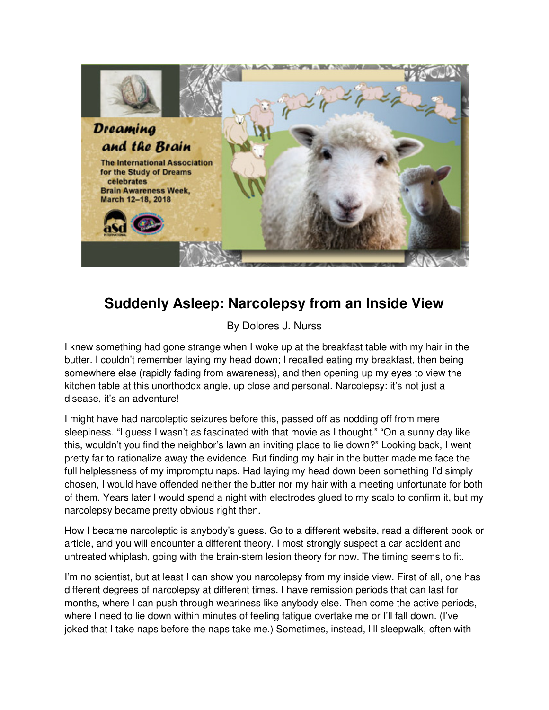

## **Suddenly Asleep: Narcolepsy from an Inside View**

By Dolores J. Nurss

I knew something had gone strange when I woke up at the breakfast table with my hair in the butter. I couldn't remember laying my head down; I recalled eating my breakfast, then being somewhere else (rapidly fading from awareness), and then opening up my eyes to view the kitchen table at this unorthodox angle, up close and personal. Narcolepsy: it's not just a disease, it's an adventure!

I might have had narcoleptic seizures before this, passed off as nodding off from mere sleepiness. "I guess I wasn't as fascinated with that movie as I thought." "On a sunny day like this, wouldn't you find the neighbor's lawn an inviting place to lie down?" Looking back, I went pretty far to rationalize away the evidence. But finding my hair in the butter made me face the full helplessness of my impromptu naps. Had laying my head down been something I'd simply chosen, I would have offended neither the butter nor my hair with a meeting unfortunate for both of them. Years later I would spend a night with electrodes glued to my scalp to confirm it, but my narcolepsy became pretty obvious right then.

How I became narcoleptic is anybody's guess. Go to a different website, read a different book or article, and you will encounter a different theory. I most strongly suspect a car accident and untreated whiplash, going with the brain-stem lesion theory for now. The timing seems to fit.

I'm no scientist, but at least I can show you narcolepsy from my inside view. First of all, one has different degrees of narcolepsy at different times. I have remission periods that can last for months, where I can push through weariness like anybody else. Then come the active periods, where I need to lie down within minutes of feeling fatigue overtake me or I'll fall down. (I've joked that I take naps before the naps take me.) Sometimes, instead, I'll sleepwalk, often with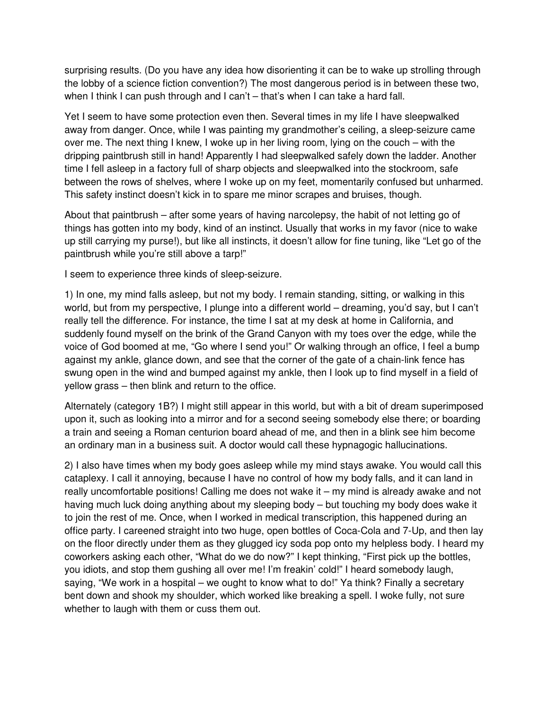surprising results. (Do you have any idea how disorienting it can be to wake up strolling through the lobby of a science fiction convention?) The most dangerous period is in between these two, when I think I can push through and I can't – that's when I can take a hard fall.

Yet I seem to have some protection even then. Several times in my life I have sleepwalked away from danger. Once, while I was painting my grandmother's ceiling, a sleep-seizure came over me. The next thing I knew, I woke up in her living room, lying on the couch – with the dripping paintbrush still in hand! Apparently I had sleepwalked safely down the ladder. Another time I fell asleep in a factory full of sharp objects and sleepwalked into the stockroom, safe between the rows of shelves, where I woke up on my feet, momentarily confused but unharmed. This safety instinct doesn't kick in to spare me minor scrapes and bruises, though.

About that paintbrush – after some years of having narcolepsy, the habit of not letting go of things has gotten into my body, kind of an instinct. Usually that works in my favor (nice to wake up still carrying my purse!), but like all instincts, it doesn't allow for fine tuning, like "Let go of the paintbrush while you're still above a tarp!"

I seem to experience three kinds of sleep-seizure.

1) In one, my mind falls asleep, but not my body. I remain standing, sitting, or walking in this world, but from my perspective, I plunge into a different world – dreaming, you'd say, but I can't really tell the difference. For instance, the time I sat at my desk at home in California, and suddenly found myself on the brink of the Grand Canyon with my toes over the edge, while the voice of God boomed at me, "Go where I send you!" Or walking through an office, I feel a bump against my ankle, glance down, and see that the corner of the gate of a chain-link fence has swung open in the wind and bumped against my ankle, then I look up to find myself in a field of yellow grass – then blink and return to the office.

Alternately (category 1B?) I might still appear in this world, but with a bit of dream superimposed upon it, such as looking into a mirror and for a second seeing somebody else there; or boarding a train and seeing a Roman centurion board ahead of me, and then in a blink see him become an ordinary man in a business suit. A doctor would call these hypnagogic hallucinations.

2) I also have times when my body goes asleep while my mind stays awake. You would call this cataplexy. I call it annoying, because I have no control of how my body falls, and it can land in really uncomfortable positions! Calling me does not wake it – my mind is already awake and not having much luck doing anything about my sleeping body – but touching my body does wake it to join the rest of me. Once, when I worked in medical transcription, this happened during an office party. I careened straight into two huge, open bottles of Coca-Cola and 7-Up, and then lay on the floor directly under them as they glugged icy soda pop onto my helpless body. I heard my coworkers asking each other, "What do we do now?" I kept thinking, "First pick up the bottles, you idiots, and stop them gushing all over me! I'm freakin' cold!" I heard somebody laugh, saying, "We work in a hospital – we ought to know what to do!" Ya think? Finally a secretary bent down and shook my shoulder, which worked like breaking a spell. I woke fully, not sure whether to laugh with them or cuss them out.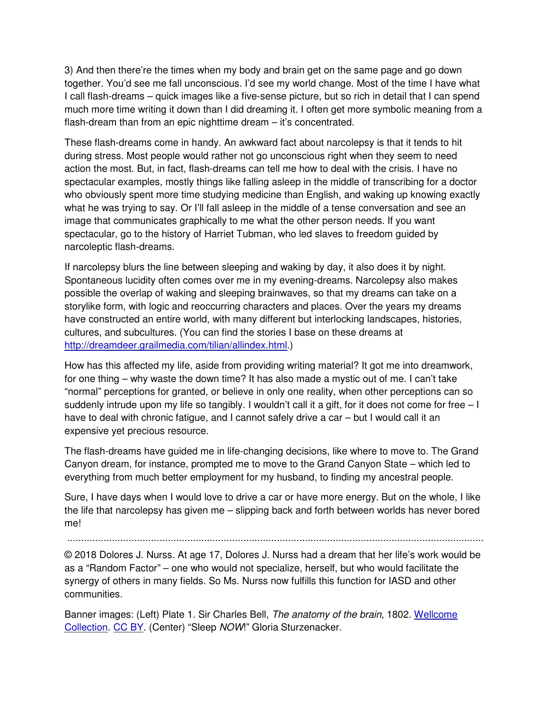3) And then there're the times when my body and brain get on the same page and go down together. You'd see me fall unconscious. I'd see my world change. Most of the time I have what I call flash-dreams – quick images like a five-sense picture, but so rich in detail that I can spend much more time writing it down than I did dreaming it. I often get more symbolic meaning from a flash-dream than from an epic nighttime dream – it's concentrated.

These flash-dreams come in handy. An awkward fact about narcolepsy is that it tends to hit during stress. Most people would rather not go unconscious right when they seem to need action the most. But, in fact, flash-dreams can tell me how to deal with the crisis. I have no spectacular examples, mostly things like falling asleep in the middle of transcribing for a doctor who obviously spent more time studying medicine than English, and waking up knowing exactly what he was trying to say. Or I'll fall asleep in the middle of a tense conversation and see an image that communicates graphically to me what the other person needs. If you want spectacular, go to the history of Harriet Tubman, who led slaves to freedom guided by narcoleptic flash-dreams.

If narcolepsy blurs the line between sleeping and waking by day, it also does it by night. Spontaneous lucidity often comes over me in my evening-dreams. Narcolepsy also makes possible the overlap of waking and sleeping brainwaves, so that my dreams can take on a storylike form, with logic and reoccurring characters and places. Over the years my dreams have constructed an entire world, with many different but interlocking landscapes, histories, cultures, and subcultures. (You can find the stories I base on these dreams at http://dreamdeer.grailmedia.com/tilian/allindex.html.)

How has this affected my life, aside from providing writing material? It got me into dreamwork, for one thing – why waste the down time? It has also made a mystic out of me. I can't take "normal" perceptions for granted, or believe in only one reality, when other perceptions can so suddenly intrude upon my life so tangibly. I wouldn't call it a gift, for it does not come for free  $-1$ have to deal with chronic fatigue, and I cannot safely drive a car – but I would call it an expensive yet precious resource.

The flash-dreams have guided me in life-changing decisions, like where to move to. The Grand Canyon dream, for instance, prompted me to move to the Grand Canyon State – which led to everything from much better employment for my husband, to finding my ancestral people.

Sure, I have days when I would love to drive a car or have more energy. But on the whole, I like the life that narcolepsy has given me – slipping back and forth between worlds has never bored me!

.....................................................................................................................................................

© 2018 Dolores J. Nurss. At age 17, Dolores J. Nurss had a dream that her life's work would be as a "Random Factor" – one who would not specialize, herself, but who would facilitate the synergy of others in many fields. So Ms. Nurss now fulfills this function for IASD and other communities.

Banner images: (Left) Plate 1. Sir Charles Bell, The anatomy of the brain, 1802. Wellcome Collection. CC BY. (Center) "Sleep NOW!" Gloria Sturzenacker.